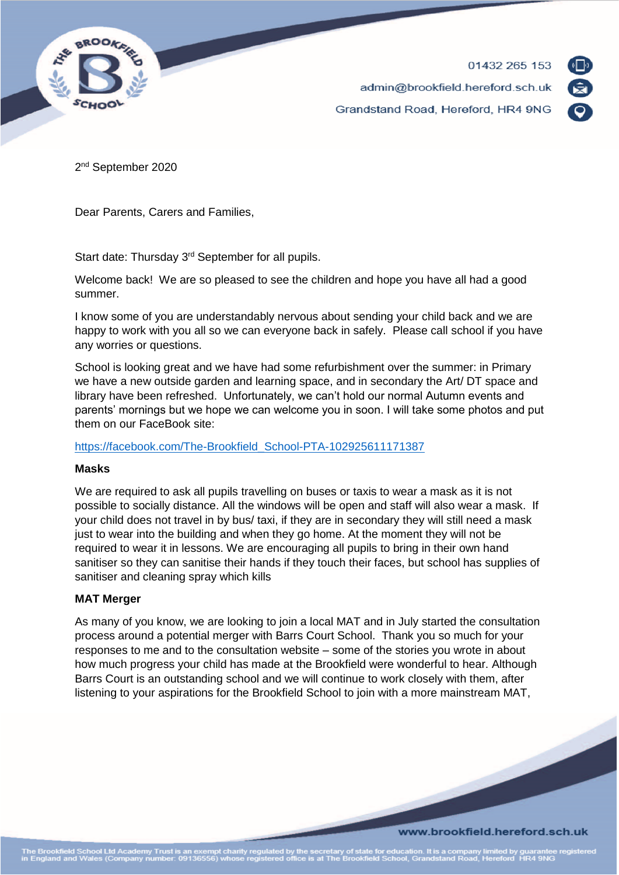

01432 265 153 admin@brookfield.hereford.sch.uk Grandstand Road, Hereford, HR4 9NG



2<sup>nd</sup> September 2020

Dear Parents, Carers and Families,

Start date: Thursday 3<sup>rd</sup> September for all pupils.

Welcome back! We are so pleased to see the children and hope you have all had a good summer.

I know some of you are understandably nervous about sending your child back and we are happy to work with you all so we can everyone back in safely. Please call school if you have any worries or questions.

School is looking great and we have had some refurbishment over the summer: in Primary we have a new outside garden and learning space, and in secondary the Art/ DT space and library have been refreshed. Unfortunately, we can't hold our normal Autumn events and parents' mornings but we hope we can welcome you in soon. I will take some photos and put them on our FaceBook site:

[https://facebook.com/The-Brookfield\\_School-PTA-102925611171387](https://facebook.com/The-Brookfield_School-PTA-102925611171387)

#### **Masks**

We are required to ask all pupils travelling on buses or taxis to wear a mask as it is not possible to socially distance. All the windows will be open and staff will also wear a mask. If your child does not travel in by bus/ taxi, if they are in secondary they will still need a mask just to wear into the building and when they go home. At the moment they will not be required to wear it in lessons. We are encouraging all pupils to bring in their own hand sanitiser so they can sanitise their hands if they touch their faces, but school has supplies of sanitiser and cleaning spray which kills

## **MAT Merger**

As many of you know, we are looking to join a local MAT and in July started the consultation process around a potential merger with Barrs Court School. Thank you so much for your responses to me and to the consultation website – some of the stories you wrote in about how much progress your child has made at the Brookfield were wonderful to hear. Although Barrs Court is an outstanding school and we will continue to work closely with them, after listening to your aspirations for the Brookfield School to join with a more mainstream MAT,

#### www.brookfield.hereford.sch.uk